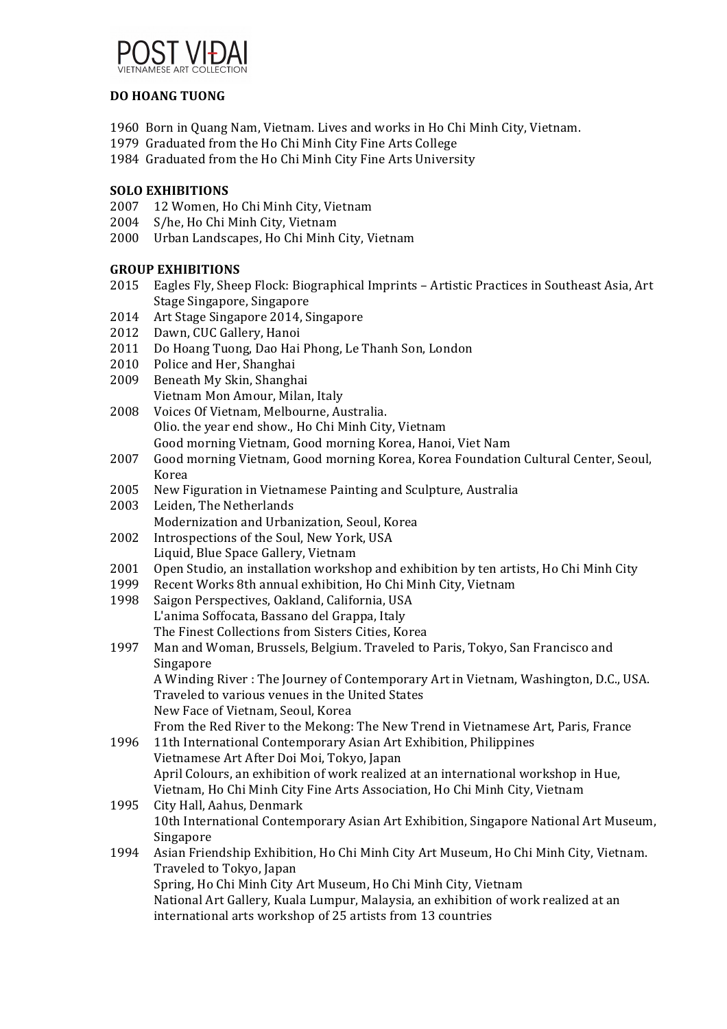

## **DO HOANG TUONG**

- 1960 Born in Quang Nam, Vietnam. Lives and works in Ho Chi Minh City, Vietnam.
- 1979 Graduated from the Ho Chi Minh City Fine Arts College
- 1984 Graduated from the Ho Chi Minh City Fine Arts University

## **SOLO EXHIBITIONS**

- 2007 12 Women, Ho Chi Minh City, Vietnam
- 2004 S/he, Ho Chi Minh City, Vietnam
- 2000 Urban Landscapes, Ho Chi Minh City, Vietnam

## **GROUP EXHIBITIONS**

- 2015 Eagles Fly, Sheep Flock: Biographical Imprints Artistic Practices in Southeast Asia, Art Stage Singapore, Singapore
- 2014 Art Stage Singapore 2014, Singapore
- 2012 Dawn, CUC Gallery, Hanoi
- 2011 Do Hoang Tuong, Dao Hai Phong, Le Thanh Son, London
- 2010 Police and Her, Shanghai
- 2009 Beneath My Skin, Shanghai Vietnam Mon Amour, Milan, Italy
- 2008 Voices Of Vietnam, Melbourne, Australia. Olio. the year end show., Ho Chi Minh City, Vietnam Good morning Vietnam, Good morning Korea, Hanoi, Viet Nam
- 2007 Good morning Vietnam, Good morning Korea, Korea Foundation Cultural Center, Seoul, Korea
- 2005 New Figuration in Vietnamese Painting and Sculpture, Australia
- 2003 Leiden, The Netherlands
- Modernization and Urbanization, Seoul, Korea
- 2002 Introspections of the Soul, New York, USA Liquid, Blue Space Gallery, Vietnam
- 2001 Open Studio, an installation workshop and exhibition by ten artists, Ho Chi Minh City
- 1999 Recent Works 8th annual exhibition, Ho Chi Minh City, Vietnam
- 1998 Saigon Perspectives, Oakland, California, USA L'anima Soffocata, Bassano del Grappa, Italy The Finest Collections from Sisters Cities, Korea
- 1997 Man and Woman, Brussels, Belgium. Traveled to Paris, Tokyo, San Francisco and Singapore A Winding River : The Journey of Contemporary Art in Vietnam, Washington, D.C., USA.

Traveled to various venues in the United States New Face of Vietnam, Seoul, Korea From the Red River to the Mekong: The New Trend in Vietnamese Art, Paris, France

- 1996 11th International Contemporary Asian Art Exhibition, Philippines Vietnamese Art After Doi Moi, Tokyo, Japan April Colours, an exhibition of work realized at an international workshop in Hue, Vietnam, Ho Chi Minh City Fine Arts Association, Ho Chi Minh City, Vietnam
- 1995 City Hall, Aahus, Denmark 10th International Contemporary Asian Art Exhibition, Singapore National Art Museum, Singapore 1994 Asian Friendship Exhibition, Ho Chi Minh City Art Museum, Ho Chi Minh City, Vietnam.
- Traveled to Tokyo, Japan Spring, Ho Chi Minh City Art Museum, Ho Chi Minh City, Vietnam National Art Gallery, Kuala Lumpur, Malaysia, an exhibition of work realized at an international arts workshop of 25 artists from 13 countries